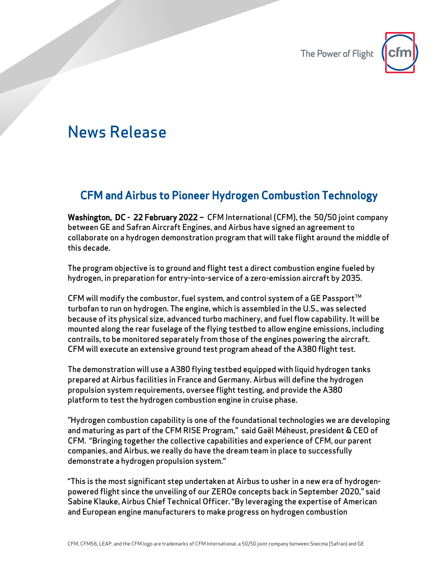

## News Release

## CFM and Airbus to Pioneer Hydrogen Combustion Technology

Washington, DC - 22 February 2022 – CFM International (CFM), the 50/50 joint company between GE and Safran Aircraft Engines, and Airbus have signed an agreement to collaborate on a hydrogen demonstration program that will take flight around the middle of this decade.

The program objective is to ground and flight test a direct combustion engine fueled by hydrogen, in preparation for entry-into-service of a zero-emission aircraft by 2035.

CFM will modify the combustor, fuel system, and control system of a GE Passport $^{TM}$ turbofan to run on hydrogen. The engine, which is assembled in the U.S., was selected because of its physical size, advanced turbo machinery, and fuel flow capability. It will be mounted along the rear fuselage of the flying testbed to allow engine emissions, including contrails, to be monitored separately from those of the engines powering the aircraft. CFM will execute an extensive ground test program ahead of the A380 flight test.

The demonstration will use a A380 flying testbed equipped with liquid hydrogen tanks prepared at Airbus facilities in France and Germany. Airbus will define the hydrogen propulsion system requirements, oversee flight testing, and provide the A380 platform to test the hydrogen combustion engine in cruise phase.

"Hydrogen combustion capability is one of the foundational technologies we are developing and maturing as part of the CFM RISE Program," said Gaël Méheust, president & CEO of CFM. "Bringing together the collective capabilities and experience of CFM, our parent companies, and Airbus, we really do have the dream team in place to successfully demonstrate a hydrogen propulsion system."

"This is the most significant step undertaken at Airbus to usher in a new era of hydrogenpowered flight since the unveiling of our ZEROe concepts back in September 2020," said Sabine Klauke, Airbus Chief Technical Officer. "By leveraging the expertise of American and European engine manufacturers to make progress on hydrogen combustion